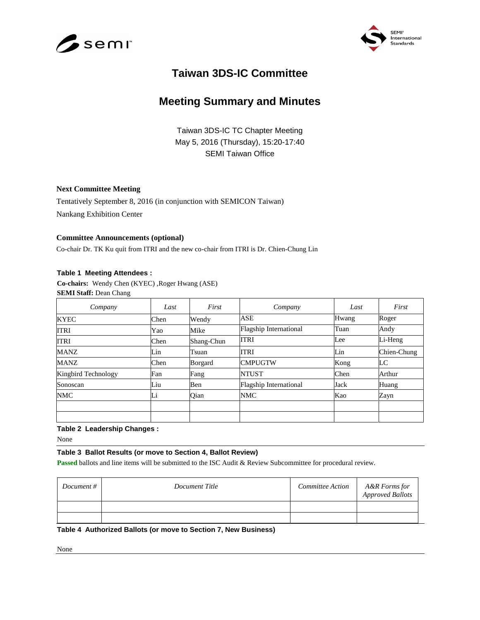



# **Taiwan 3DS-IC Committee**

# **Meeting Summary and Minutes**

Taiwan 3DS-IC TC Chapter Meeting May 5, 2016 (Thursday), 15:20-17:40 SEMI Taiwan Office

### **Next Committee Meeting**

Tentatively September 8, 2016 (in conjunction with SEMICON Taiwan) Nankang Exhibition Center

### **Committee Announcements (optional)**

Co-chair Dr. TK Ku quit from ITRI and the new co-chair from ITRI is Dr. Chien-Chung Lin

### **Table 1 Meeting Attendees :**

**Co-chairs:** Wendy Chen (KYEC) ,Roger Hwang (ASE) **SEMI Staff:** Dean Chang

| Company             | Last | First      | Company                       | Last  | First       |
|---------------------|------|------------|-------------------------------|-------|-------------|
| <b>KYEC</b>         | Chen | Wendy      | ASE                           | Hwang | Roger       |
| <b>ITRI</b>         | Yao  | Mike       | Flagship International        | Tuan  | Andy        |
| ITRI                | Chen | Shang-Chun | <b>ITRI</b>                   | Lee   | Li-Heng     |
| MANZ                | Lin  | Tsuan      | <b>ITRI</b>                   | Lin   | Chien-Chung |
| MANZ                | Chen | Borgard    | <b>CMPUGTW</b>                | Kong  | LC          |
| Kingbird Technology | Fan  | Fang       | <b>NTUST</b>                  | Chen  | Arthur      |
| Sonoscan            | Liu  | Ben        | <b>Flagship International</b> | Jack  | Huang       |
| NMC                 | Li   | Qian       | <b>NMC</b>                    | Kao   | Zayn        |
|                     |      |            |                               |       |             |
|                     |      |            |                               |       |             |

### **Table 2 Leadership Changes :**

None

#### **Table 3 Ballot Results (or move to Section 4, Ballot Review)**

**Passed** ballots and line items will be submitted to the ISC Audit & Review Subcommittee for procedural review.

| Document # | Document Title | Committee Action | A&R Forms for<br><b>Approved Ballots</b> |
|------------|----------------|------------------|------------------------------------------|
|            |                |                  |                                          |
|            |                |                  |                                          |

## **Table 4 Authorized Ballots (or move to Section 7, New Business)**

None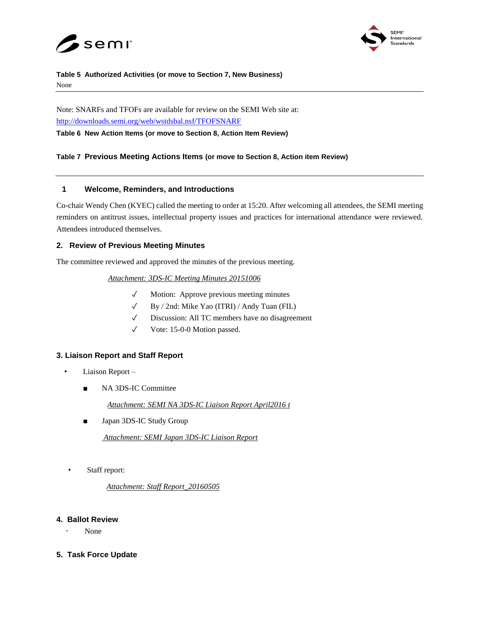



#### **Table 5 Authorized Activities (or move to Section 7, New Business)** None

Note: SNARFs and TFOFs are available for review on the SEMI Web site at: <http://downloads.semi.org/web/wstdsbal.nsf/TFOFSNARF>

**Table 6 New Action Items (or move to Section 8, Action Item Review)**

## **Table 7 Previous Meeting Actions Items (or move to Section 8, Action item Review)**

# **1 Welcome, Reminders, and Introductions**

Co-chair Wendy Chen (KYEC) called the meeting to order at 15:20. After welcoming all attendees, the SEMI meeting reminders on antitrust issues, intellectual property issues and practices for international attendance were reviewed. Attendees introduced themselves.

# **2. Review of Previous Meeting Minutes**

The committee reviewed and approved the minutes of the previous meeting.

## *Attachment: 3DS-IC Meeting Minutes 20151006*

- ✓ Motion: Approve previous meeting minutes
- ✓ By / 2nd: Mike Yao (ITRI) / Andy Tuan (FIL)
- ✓ Discussion: All TC members have no disagreement
- ✓ Vote: 15-0-0 Motion passed.

# **3. Liaison Report and Staff Report**

- Liaison Report
	- NA 3DS-IC Committee

*Attachment: SEMI NA 3DS-IC Liaison Report April2016 t*

■ Japan 3DS-IC Study Group

*Attachment: SEMI Japan 3DS-IC Liaison Report*

• Staff report:

*Attachment: Staff Report\_20160505*

## **4. Ballot Review**

- None
- **5. Task Force Update**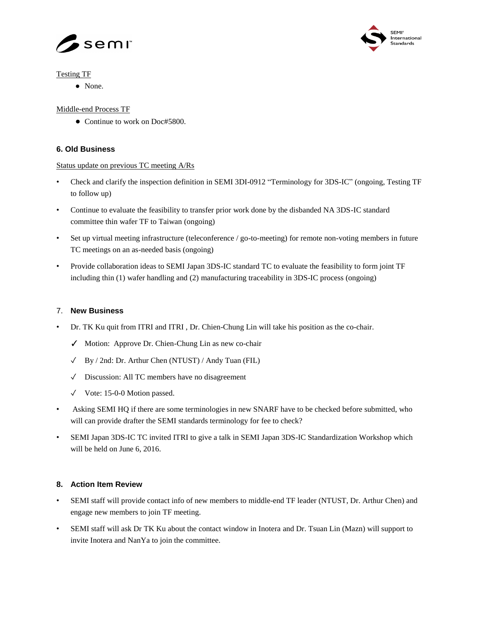



## Testing TF

● None.

# Middle-end Process TF

● Continue to work on Doc#5800.

# **6. Old Business**

## Status update on previous TC meeting A/Rs

- Check and clarify the inspection definition in SEMI 3DI-0912 "Terminology for 3DS-IC" (ongoing, Testing TF to follow up)
- Continue to evaluate the feasibility to transfer prior work done by the disbanded NA 3DS-IC standard committee thin wafer TF to Taiwan (ongoing)
- Set up virtual meeting infrastructure (teleconference / go-to-meeting) for remote non-voting members in future TC meetings on an as-needed basis (ongoing)
- Provide collaboration ideas to SEMI Japan 3DS-IC standard TC to evaluate the feasibility to form joint TF including thin (1) wafer handling and (2) manufacturing traceability in 3DS-IC process (ongoing)

# 7. **New Business**

- Dr. TK Ku quit from ITRI and ITRI , Dr. Chien-Chung Lin will take his position as the co-chair.
	- ✓ Motion: Approve Dr. Chien-Chung Lin as new co-chair
	- ✓ By / 2nd: Dr. Arthur Chen (NTUST) / Andy Tuan (FIL)
	- ✓ Discussion: All TC members have no disagreement
	- ✓ Vote: 15-0-0 Motion passed.
- Asking SEMI HQ if there are some terminologies in new SNARF have to be checked before submitted, who will can provide drafter the SEMI standards terminology for fee to check?
- SEMI Japan 3DS-IC TC invited ITRI to give a talk in SEMI Japan 3DS-IC Standardization Workshop which will be held on June 6, 2016.

## **8. Action Item Review**

- SEMI staff will provide contact info of new members to middle-end TF leader (NTUST, Dr. Arthur Chen) and engage new members to join TF meeting.
- SEMI staff will ask Dr TK Ku about the contact window in Inotera and Dr. Tsuan Lin (Mazn) will support to invite Inotera and NanYa to join the committee.